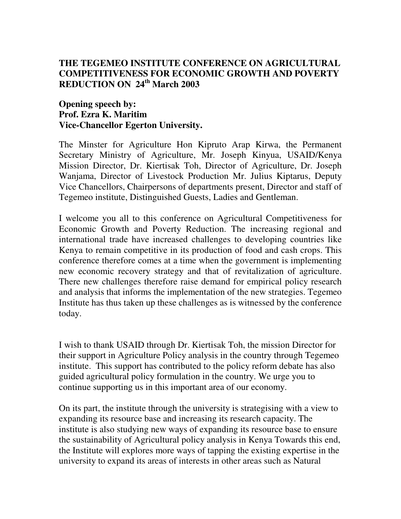## **THE TEGEMEO INSTITUTE CONFERENCE ON AGRICULTURAL COMPETITIVENESS FOR ECONOMIC GROWTH AND POVERTY REDUCTION ON 24 th March 2003**

## **Opening speech by: Prof. Ezra K. Maritim Vice-Chancellor Egerton University.**

The Minster for Agriculture Hon Kipruto Arap Kirwa, the Permanent Secretary Ministry of Agriculture, Mr. Joseph Kinyua, USAID/Kenya Mission Director, Dr. Kiertisak Toh, Director of Agriculture, Dr. Joseph Wanjama, Director of Livestock Production Mr. Julius Kiptarus, Deputy Vice Chancellors, Chairpersons of departments present, Director and staff of Tegemeo institute, Distinguished Guests, Ladies and Gentleman.

I welcome you all to this conference on Agricultural Competitiveness for Economic Growth and Poverty Reduction. The increasing regional and international trade have increased challenges to developing countries like Kenya to remain competitive in its production of food and cash crops. This conference therefore comes at a time when the government is implementing new economic recovery strategy and that of revitalization of agriculture. There new challenges therefore raise demand for empirical policy research and analysis that informs the implementation of the new strategies. Tegemeo Institute has thus taken up these challenges as is witnessed by the conference today.

I wish to thank USAID through Dr. Kiertisak Toh, the mission Director for their support in Agriculture Policy analysis in the country through Tegemeo institute. This support has contributed to the policy reform debate has also guided agricultural policy formulation in the country. We urge you to continue supporting us in this important area of our economy.

On its part, the institute through the university is strategising with a view to expanding its resource base and increasing its research capacity. The institute is also studying new ways of expanding its resource base to ensure the sustainability of Agricultural policy analysis in Kenya Towards this end, the Institute will explores more ways of tapping the existing expertise in the university to expand its areas of interests in other areas such as Natural